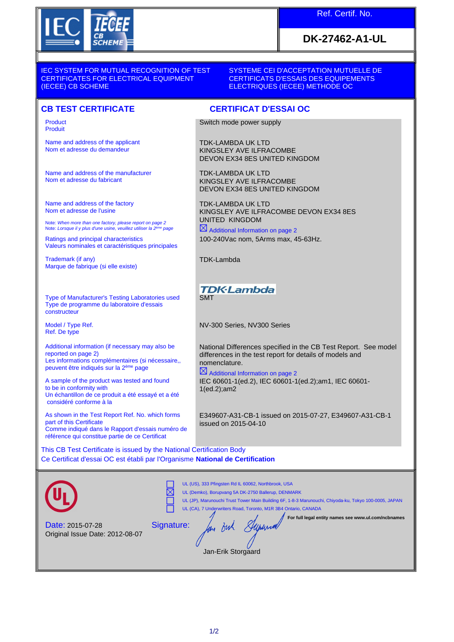

## Ref. Certif. No.

## **DK-27462-A1-UL**

IEC SYSTEM FOR MUTUAL RECOGNITION OF TEST CERTIFICATES FOR ELECTRICAL EQUIPMENT (IECEE) CB SCHEME

SYSTEME CEI D'ACCEPTATION MUTUELLE DE CERTIFICATS D'ESSAIS DES EQUIPEMENTS ELECTRIQUES (IECEE) METHODE OC

## **CB TEST CERTIFICATE CERTIFICAT D'ESSAI OC**

Product Produit

Name and address of the applicant Nom et adresse du demandeur

Name and address of the manufacturer Nom et adresse du fabricant

Name and address of the factory Nom et adresse de l'usine

Note: *When more than one factory, please report on page 2*<br>Note: *Lorsque il y plus d'une usine, veuillez utiliser la 2<sup>ème</sup> page* 

Ratings and principal characteristics Valeurs nominales et caractéristiques principales

Trademark (if any) Marque de fabrique (si elle existe)

Type of Manufacturer's Testing Laboratories used Type de programme du laboratoire d'essais constructeur

Model / Type Ref. Ref. De type

Additional information (if necessary may also be reported on page 2) Les informations complémentaires (si nécessaire,, peuvent être indiqués sur la 2ème page

A sample of the product was tested and found to be in conformity with Un échantillon de ce produit a été essayé et a été considéré conforme à la

As shown in the Test Report Ref. No. which forms part of this Certificate Comme indiqué dans le Rapport d'essais numéro de référence qui constitue partie de ce Certificat

Switch mode power supply

TDK-LAMBDA UK LTD KINGSLEY AVE ILFRACOMBE DEVON EX34 8ES UNITED KINGDOM

TDK-LAMBDA UK LTD KINGSLEY AVE ILFRACOMBE DEVON EX34 8ES UNITED KINGDOM

TDK-LAMBDA UK LTD KINGSLEY AVE ILFRACOMBE DEVON EX34 8ES UNITED KINGDOM

 $\boxtimes$  Additional Information on page 2 100-240Vac nom, 5Arms max, 45-63Hz.

TDK-Lambda

**TDK-Lambda SMT** 

NV-300 Series, NV300 Series

National Differences specified in the CB Test Report. See model differences in the test report for details of models and nomenclature.

 $\boxtimes$  Additional Information on page 2 IEC 60601-1(ed.2), IEC 60601-1(ed.2);am1, IEC 60601- 1(ed.2);am2

E349607-A31-CB-1 issued on 2015-07-27, E349607-A31-CB-1 issued on 2015-04-10

This CB Test Certificate is issued by the National Certification Body Ce Certificat d'essai OC est établi par l'Organisme **National de Certification**